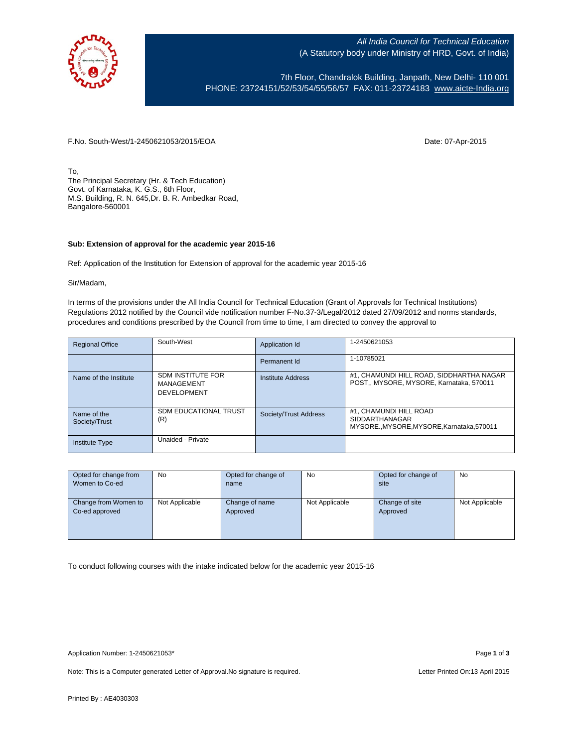

All India Council for Technical Education (A Statutory body under Ministry of HRD, Govt. of India)

7th Floor, Chandralok Building, Janpath, New Delhi- 110 001 PHONE: 23724151/52/53/54/55/56/57 FAX: 011-23724183 [www.aicte-India.org](http://www.aicte-india.org/)

F.No. South-West/1-2450621053/2015/EOA Date: 07-Apr-2015

To, The Principal Secretary (Hr. & Tech Education) Govt. of Karnataka, K. G.S., 6th Floor, M.S. Building, R. N. 645,Dr. B. R. Ambedkar Road, Bangalore-560001

## **Sub: Extension of approval for the academic year 2015-16**

Ref: Application of the Institution for Extension of approval for the academic year 2015-16

Sir/Madam,

In terms of the provisions under the All India Council for Technical Education (Grant of Approvals for Technical Institutions) Regulations 2012 notified by the Council vide notification number F-No.37-3/Legal/2012 dated 27/09/2012 and norms standards, procedures and conditions prescribed by the Council from time to time, I am directed to convey the approval to

| <b>Regional Office</b>       | South-West                                                   | Application Id        | 1-2450621053                                                                            |
|------------------------------|--------------------------------------------------------------|-----------------------|-----------------------------------------------------------------------------------------|
|                              |                                                              | Permanent Id          | 1-10785021                                                                              |
| Name of the Institute        | <b>SDM INSTITUTE FOR</b><br>MANAGEMENT<br><b>DEVELOPMENT</b> | Institute Address     | #1, CHAMUNDI HILL ROAD, SIDDHARTHA NAGAR<br>POST., MYSORE, MYSORE, Karnataka, 570011    |
| Name of the<br>Society/Trust | <b>SDM EDUCATIONAL TRUST</b><br>(R)                          | Society/Trust Address | #1, CHAMUNDI HILL ROAD<br><b>SIDDARTHANAGAR</b><br>MYSOREMYSORE.MYSORE.Karnataka.570011 |
| <b>Institute Type</b>        | Unaided - Private                                            |                       |                                                                                         |

| Opted for change from | No.            | Opted for change of | No             | Opted for change of | No             |
|-----------------------|----------------|---------------------|----------------|---------------------|----------------|
| Women to Co-ed        |                | name                |                | site                |                |
|                       |                |                     |                |                     |                |
| Change from Women to  | Not Applicable | Change of name      | Not Applicable | Change of site      | Not Applicable |
| Co-ed approved        |                | Approved            |                | Approved            |                |
|                       |                |                     |                |                     |                |
|                       |                |                     |                |                     |                |
|                       |                |                     |                |                     |                |

To conduct following courses with the intake indicated below for the academic year 2015-16

Note: This is a Computer generated Letter of Approval. No signature is required. Letter Printed On:13 April 2015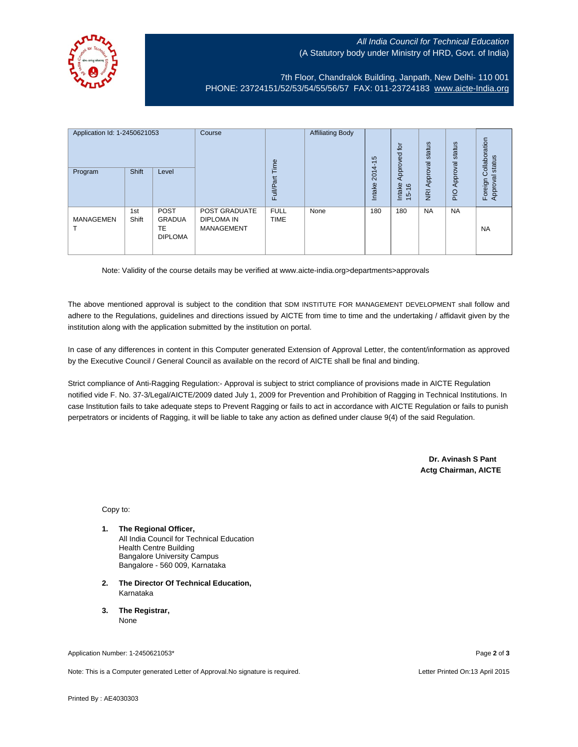## All India Council for Technical Education (A Statutory body under Ministry of HRD, Govt. of India)



7th Floor, Chandralok Building, Janpath, New Delhi- 110 001 PHONE: 23724151/52/53/54/55/56/57 FAX: 011-23724183 [www.aicte-India.org](http://www.aicte-india.org/)

| Application Id: 1-2450621053<br>Program | Shift        | Level                                         | Course                                                  | Time<br>七<br>Full/Par      | <b>Affiliating Body</b> | S<br>$2014 - 1$<br>Intake | $\overline{5}$<br>59<br>Approve<br>Intake<br>$\frac{6}{2}$<br>$\overline{5}$ | status<br>Approval<br>$\overline{g}$ | status<br>Approval<br>$\frac{1}{2}$ | ollaboration<br>status<br>Ö<br>ಸ<br>Foreign<br><b>Approva</b> |
|-----------------------------------------|--------------|-----------------------------------------------|---------------------------------------------------------|----------------------------|-------------------------|---------------------------|------------------------------------------------------------------------------|--------------------------------------|-------------------------------------|---------------------------------------------------------------|
| <b>MANAGEMEN</b><br>п                   | 1st<br>Shift | <b>POST</b><br>GRADUA<br>TE<br><b>DIPLOMA</b> | <b>POST GRADUATE</b><br>DIPLOMA IN<br><b>MANAGEMENT</b> | <b>FULL</b><br><b>TIME</b> | None                    | 180                       | 180                                                                          | <b>NA</b>                            | <b>NA</b>                           | <b>NA</b>                                                     |

Note: Validity of the course details may be verified at www.aicte-india.org>departments>approvals

The above mentioned approval is subject to the condition that SDM INSTITUTE FOR MANAGEMENT DEVELOPMENT shall follow and adhere to the Regulations, guidelines and directions issued by AICTE from time to time and the undertaking / affidavit given by the institution along with the application submitted by the institution on portal.

In case of any differences in content in this Computer generated Extension of Approval Letter, the content/information as approved by the Executive Council / General Council as available on the record of AICTE shall be final and binding.

Strict compliance of Anti-Ragging Regulation:- Approval is subject to strict compliance of provisions made in AICTE Regulation notified vide F. No. 37-3/Legal/AICTE/2009 dated July 1, 2009 for Prevention and Prohibition of Ragging in Technical Institutions. In case Institution fails to take adequate steps to Prevent Ragging or fails to act in accordance with AICTE Regulation or fails to punish perpetrators or incidents of Ragging, it will be liable to take any action as defined under clause 9(4) of the said Regulation.

> **Dr. Avinash S Pant Actg Chairman, AICTE**

Copy to:

- **1. The Regional Officer,** All India Council for Technical Education Health Centre Building Bangalore University Campus Bangalore - 560 009, Karnataka
- **2. The Director Of Technical Education,** Karnataka
- **3. The Registrar,** None

Application Number: 1-2450621053\* Page **2** of **3**

Note: This is a Computer generated Letter of Approval.No signature is required. Letter According the state of the Letter Printed On:13 April 2015